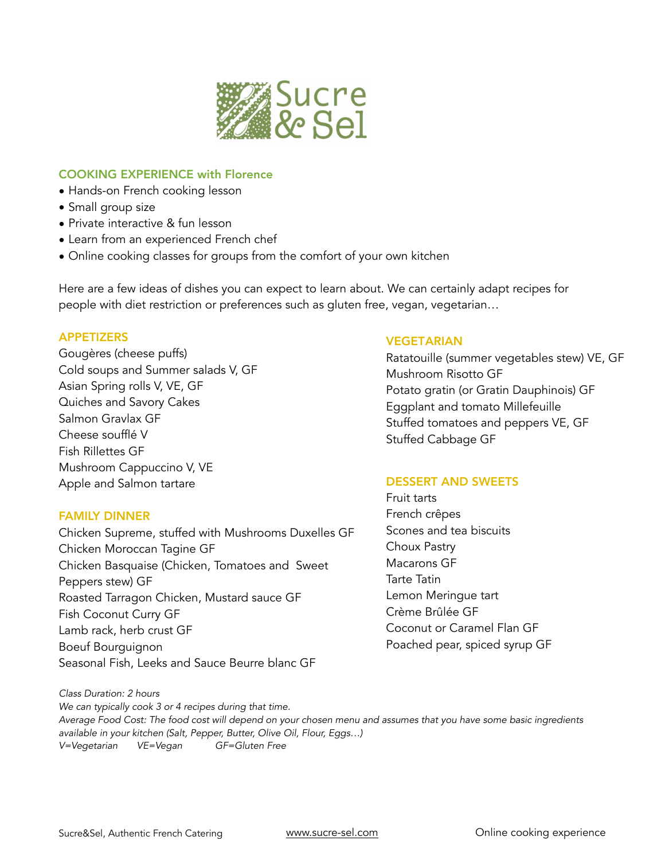

# COOKING EXPERIENCE with Florence

- Hands-on French cooking lesson
- Small group size
- Private interactive & fun lesson
- Learn from an experienced French chef
- Online cooking classes for groups from the comfort of your own kitchen

Here are a few ideas of dishes you can expect to learn about. We can certainly adapt recipes for people with diet restriction or preferences such as gluten free, vegan, vegetarian…

### APPETIZERS

Gougères (cheese puffs) Cold soups and Summer salads V, GF Asian Spring rolls V, VE, GF Quiches and Savory Cakes Salmon Gravlax GF Cheese soufflé V Fish Rillettes GF Mushroom Cappuccino V, VE Apple and Salmon tartare

#### FAMILY DINNER

Chicken Supreme, stuffed with Mushrooms Duxelles GF Chicken Moroccan Tagine GF Chicken Basquaise (Chicken, Tomatoes and Sweet Peppers stew) GF Roasted Tarragon Chicken, Mustard sauce GF Fish Coconut Curry GF Lamb rack, herb crust GF Boeuf Bourguignon Seasonal Fish, Leeks and Sauce Beurre blanc GF

## VEGETARIAN

Ratatouille (summer vegetables stew) VE, GF Mushroom Risotto GF Potato gratin (or Gratin Dauphinois) GF Eggplant and tomato Millefeuille Stuffed tomatoes and peppers VE, GF Stuffed Cabbage GF

## DESSERT AND SWEETS

Fruit tarts French crêpes Scones and tea biscuits Choux Pastry Macarons GF Tarte Tatin Lemon Meringue tart Crème Brûlée GF Coconut or Caramel Flan GF Poached pear, spiced syrup GF

*Class Duration: 2 hours We can typically cook 3 or 4 recipes during that time. Average Food Cost: The food cost will depend on your chosen menu and assumes that you have some basic ingredients available in your kitchen (Salt, Pepper, Butter, Olive Oil, Flour, Eggs…) V=Vegetarian VE=Vegan GF=Gluten Free*